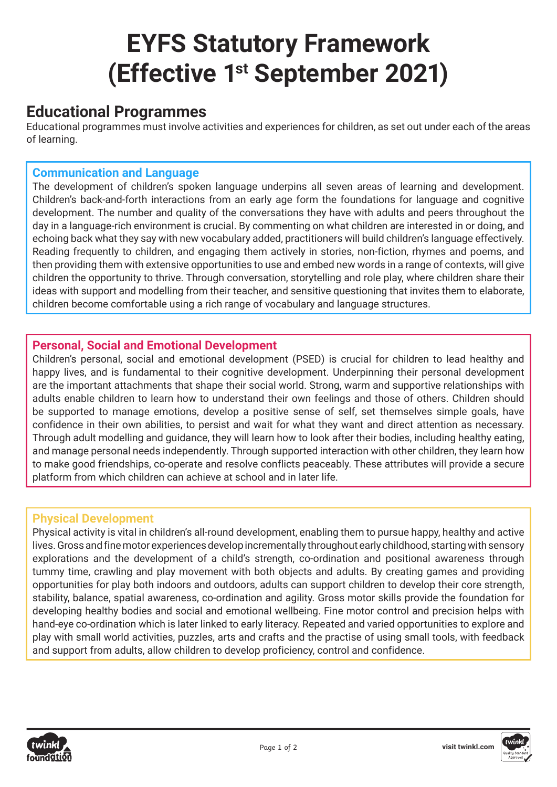# **EYFS Statutory Framework (Effective 1st September 2021)**

## **Educational Programmes**

Educational programmes must involve activities and experiences for children, as set out under each of the areas of learning.

### **Communication and Language**

The development of children's spoken language underpins all seven areas of learning and development. Children's back-and-forth interactions from an early age form the foundations for language and cognitive development. The number and quality of the conversations they have with adults and peers throughout the day in a language-rich environment is crucial. By commenting on what children are interested in or doing, and echoing back what they say with new vocabulary added, practitioners will build children's language effectively. Reading frequently to children, and engaging them actively in stories, non-fiction, rhymes and poems, and then providing them with extensive opportunities to use and embed new words in a range of contexts, will give children the opportunity to thrive. Through conversation, storytelling and role play, where children share their ideas with support and modelling from their teacher, and sensitive questioning that invites them to elaborate, children become comfortable using a rich range of vocabulary and language structures.

#### **Personal, Social and Emotional Development**

Children's personal, social and emotional development (PSED) is crucial for children to lead healthy and happy lives, and is fundamental to their cognitive development. Underpinning their personal development are the important attachments that shape their social world. Strong, warm and supportive relationships with adults enable children to learn how to understand their own feelings and those of others. Children should be supported to manage emotions, develop a positive sense of self, set themselves simple goals, have confidence in their own abilities, to persist and wait for what they want and direct attention as necessary. Through adult modelling and guidance, they will learn how to look after their bodies, including healthy eating, and manage personal needs independently. Through supported interaction with other children, they learn how to make good friendships, co-operate and resolve conflicts peaceably. These attributes will provide a secure platform from which children can achieve at school and in later life.

#### **Physical Development**

Physical activity is vital in children's all-round development, enabling them to pursue happy, healthy and active lives. Gross and fine motor experiences develop incrementally throughout early childhood, starting with sensory explorations and the development of a child's strength, co-ordination and positional awareness through tummy time, crawling and play movement with both objects and adults. By creating games and providing opportunities for play both indoors and outdoors, adults can support children to develop their core strength, stability, balance, spatial awareness, co-ordination and agility. Gross motor skills provide the foundation for developing healthy bodies and social and emotional wellbeing. Fine motor control and precision helps with hand-eye co-ordination which is later linked to early literacy. Repeated and varied opportunities to explore and play with small world activities, puzzles, arts and crafts and the practise of using small tools, with feedback and support from adults, allow children to develop proficiency, control and confidence.